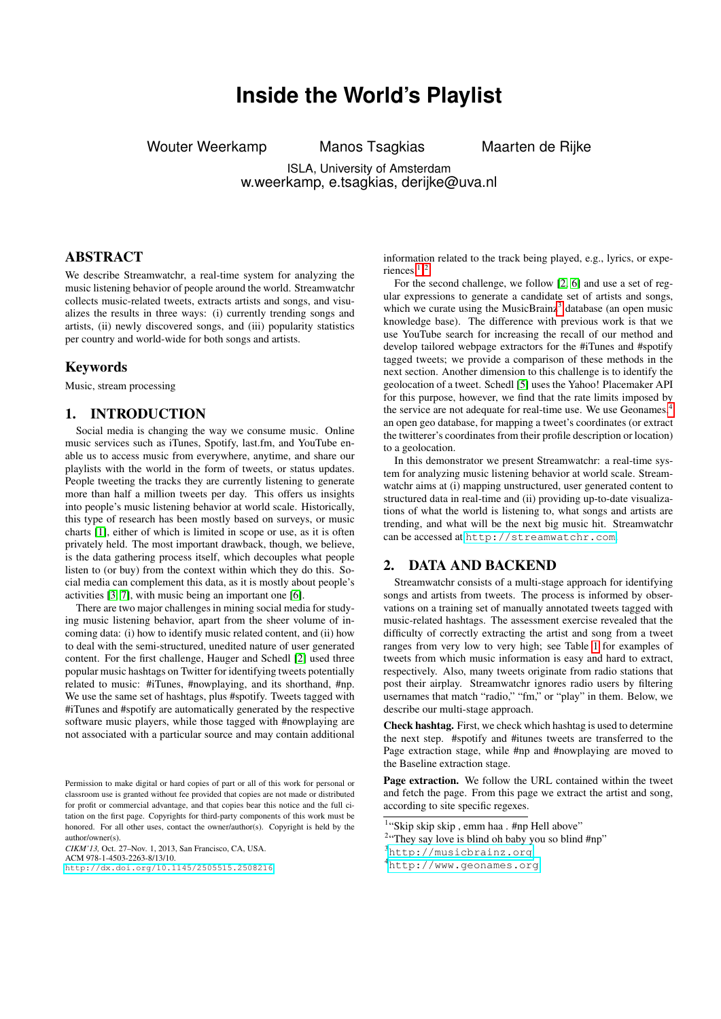# **Inside the World's Playlist**

<span id="page-0-0"></span>Wouter Weerkamp Manos Tsagkias Maarten de Rijke

ISLA, University of Amsterdam w.weerkamp, e.tsagkias, derijke@uva.nl

# ABSTRACT

We describe Streamwatchr, a real-time system for analyzing the music listening behavior of people around the world. Streamwatchr collects music-related tweets, extracts artists and songs, and visualizes the results in three ways: (i) currently trending songs and artists, (ii) newly discovered songs, and (iii) popularity statistics per country and world-wide for both songs and artists.

#### Keywords

Music, stream processing

### 1. INTRODUCTION

Social media is changing the way we consume music. Online music services such as iTunes, Spotify, last.fm, and YouTube enable us to access music from everywhere, anytime, and share our playlists with the world in the form of tweets, or status updates. People tweeting the tracks they are currently listening to generate more than half a million tweets per day. This offers us insights into people's music listening behavior at world scale. Historically, this type of research has been mostly based on surveys, or music charts [\[1\]](#page-2-0), either of which is limited in scope or use, as it is often privately held. The most important drawback, though, we believe, is the data gathering process itself, which decouples what people listen to (or buy) from the context within which they do this. Social media can complement this data, as it is mostly about people's activities [\[3,](#page-2-1) [7\]](#page-2-2), with music being an important one [\[6\]](#page-2-3).

There are two major challenges in mining social media for studying music listening behavior, apart from the sheer volume of incoming data: (i) how to identify music related content, and (ii) how to deal with the semi-structured, unedited nature of user generated content. For the first challenge, Hauger and Schedl [\[2\]](#page-2-4) used three popular music hashtags on Twitter for identifying tweets potentially related to music: #iTunes, #nowplaying, and its shorthand, #np. We use the same set of hashtags, plus #spotify. Tweets tagged with #iTunes and #spotify are automatically generated by the respective software music players, while those tagged with #nowplaying are not associated with a particular source and may contain additional

*CIKM'13,* Oct. 27–Nov. 1, 2013, San Francisco, CA, USA.

ACM 978-1-4503-2263-8/13/10.

information related to the track being played, e.g., lyrics, or experiences.<sup>1,2</sup>

For the second challenge, we follow [\[2,](#page-2-4) [6\]](#page-2-3) and use a set of regular expressions to generate a candidate set of artists and songs, which we curate using the MusicBrainz<sup>3</sup> database (an open music knowledge base). The difference with previous work is that we use YouTube search for increasing the recall of our method and develop tailored webpage extractors for the #iTunes and #spotify tagged tweets; we provide a comparison of these methods in the next section. Another dimension to this challenge is to identify the geolocation of a tweet. Schedl [\[5\]](#page-2-5) uses the Yahoo! Placemaker API for this purpose, however, we find that the rate limits imposed by the service are not adequate for real-time use. We use Geonames,<sup>4</sup> an open geo database, for mapping a tweet's coordinates (or extract the twitterer's coordinates from their profile description or location) to a geolocation.

In this demonstrator we present Streamwatchr: a real-time system for analyzing music listening behavior at world scale. Streamwatchr aims at (i) mapping unstructured, user generated content to structured data in real-time and (ii) providing up-to-date visualizations of what the world is listening to, what songs and artists are trending, and what will be the next big music hit. Streamwatchr can be accessed at <http://streamwatchr.com>.

#### 2. DATA AND BACKEND

Streamwatchr consists of a multi-stage approach for identifying songs and artists from tweets. The process is informed by observations on a training set of manually annotated tweets tagged with music-related hashtags. The assessment exercise revealed that the difficulty of correctly extracting the artist and song from a tweet ranges from very low to very high; see Table [1](#page-1-0) for examples of tweets from which music information is easy and hard to extract, respectively. Also, many tweets originate from radio stations that post their airplay. Streamwatchr ignores radio users by filtering usernames that match "radio," "fm," or "play" in them. Below, we describe our multi-stage approach.

Check hashtag. First, we check which hashtag is used to determine the next step. #spotify and #itunes tweets are transferred to the Page extraction stage, while #np and #nowplaying are moved to the Baseline extraction stage.

Page extraction. We follow the URL contained within the tweet and fetch the page. From this page we extract the artist and song, according to site specific regexes.

Permission to make digital or hard copies of part or all of this work for personal or classroom use is granted without fee provided that copies are not made or distributed for profit or commercial advantage, and that copies bear this notice and the full citation on the first page. Copyrights for third-party components of this work must be honored. For all other uses, contact the owner/author(s). Copyright is held by the author/owner(s).

<http://dx.doi.org/10.1145/2505515.2508216>.

<sup>1</sup> "Skip skip skip , emm haa . #np Hell above"

<sup>&</sup>lt;sup>2</sup>"They say love is blind oh baby you so blind #np"

<sup>3</sup><http://musicbrainz.org>

<sup>4</sup><http://www.geonames.org>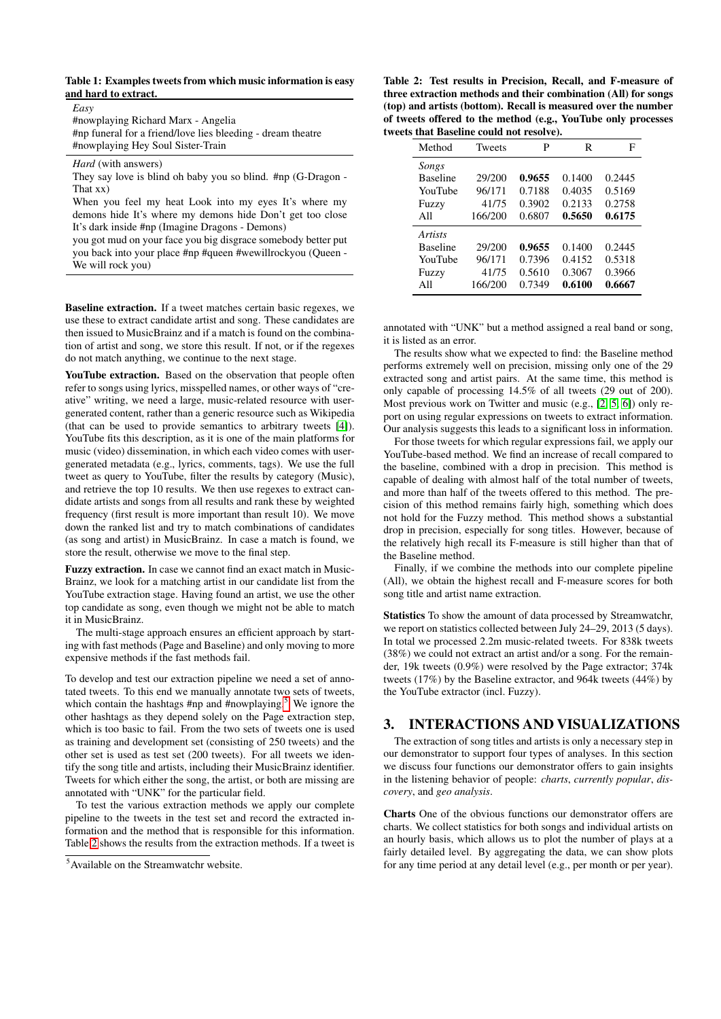#### <span id="page-1-0"></span>Table 1: Examples tweets from which music information is easy and hard to extract.

| Easy                                                        |
|-------------------------------------------------------------|
| #nowplaying Richard Marx - Angelia                          |
| #np funeral for a friend/love lies bleeding - dream theatre |
| #nowplaying Hey Soul Sister-Train                           |

*Hard* (with answers)

They say love is blind oh baby you so blind. #np (G-Dragon - That xx)

When you feel my heat Look into my eyes It's where my demons hide It's where my demons hide Don't get too close It's dark inside #np (Imagine Dragons - Demons)

you got mud on your face you big disgrace somebody better put you back into your place #np #queen #wewillrockyou (Queen - We will rock you)

Baseline extraction. If a tweet matches certain basic regexes, we use these to extract candidate artist and song. These candidates are then issued to MusicBrainz and if a match is found on the combination of artist and song, we store this result. If not, or if the regexes do not match anything, we continue to the next stage.

YouTube extraction. Based on the observation that people often refer to songs using lyrics, misspelled names, or other ways of "creative" writing, we need a large, music-related resource with usergenerated content, rather than a generic resource such as Wikipedia (that can be used to provide semantics to arbitrary tweets [\[4\]](#page-2-6)). YouTube fits this description, as it is one of the main platforms for music (video) dissemination, in which each video comes with usergenerated metadata (e.g., lyrics, comments, tags). We use the full tweet as query to YouTube, filter the results by category (Music), and retrieve the top 10 results. We then use regexes to extract candidate artists and songs from all results and rank these by weighted frequency (first result is more important than result 10). We move down the ranked list and try to match combinations of candidates (as song and artist) in MusicBrainz. In case a match is found, we store the result, otherwise we move to the final step.

Fuzzy extraction. In case we cannot find an exact match in Music-Brainz, we look for a matching artist in our candidate list from the YouTube extraction stage. Having found an artist, we use the other top candidate as song, even though we might not be able to match it in MusicBrainz.

The multi-stage approach ensures an efficient approach by starting with fast methods (Page and Baseline) and only moving to more expensive methods if the fast methods fail.

To develop and test our extraction pipeline we need a set of annotated tweets. To this end we manually annotate two sets of tweets, which contain the hashtags  $#np$  and  $#now playing.<sup>5</sup>$  $#now playing.<sup>5</sup>$  $#now playing.<sup>5</sup>$  We ignore the other hashtags as they depend solely on the Page extraction step, which is too basic to fail. From the two sets of tweets one is used as training and development set (consisting of 250 tweets) and the other set is used as test set (200 tweets). For all tweets we identify the song title and artists, including their MusicBrainz identifier. Tweets for which either the song, the artist, or both are missing are annotated with "UNK" for the particular field.

To test the various extraction methods we apply our complete pipeline to the tweets in the test set and record the extracted information and the method that is responsible for this information. Table [2](#page-1-1) shows the results from the extraction methods. If a tweet is

<span id="page-1-1"></span>Table 2: Test results in Precision, Recall, and F-measure of three extraction methods and their combination (All) for songs (top) and artists (bottom). Recall is measured over the number of tweets offered to the method (e.g., YouTube only processes tweets that Baseline could not resolve).

| Method          | <b>Tweets</b> | P      | R      | F      |
|-----------------|---------------|--------|--------|--------|
| Songs           |               |        |        |        |
| <b>Baseline</b> | 29/200        | 0.9655 | 0.1400 | 0.2445 |
| YouTube         | 96/171        | 0.7188 | 0.4035 | 0.5169 |
| Fuzzy           | 41/75         | 0.3902 | 0.2133 | 0.2758 |
| All             | 166/200       | 0.6807 | 0.5650 | 0.6175 |
| <i>Artists</i>  |               |        |        |        |
| <b>Baseline</b> | 29/200        | 0.9655 | 0.1400 | 0.2445 |
| YouTube         | 96/171        | 0.7396 | 0.4152 | 0.5318 |
| Fuzzy           | 41/75         | 0.5610 | 0.3067 | 0.3966 |
| All             | 166/200       | 0.7349 | 0.6100 | 0.6667 |

annotated with "UNK" but a method assigned a real band or song, it is listed as an error.

The results show what we expected to find: the Baseline method performs extremely well on precision, missing only one of the 29 extracted song and artist pairs. At the same time, this method is only capable of processing 14.5% of all tweets (29 out of 200). Most previous work on Twitter and music (e.g., [\[2,](#page-2-4) [5,](#page-2-5) [6\]](#page-2-3)) only report on using regular expressions on tweets to extract information. Our analysis suggests this leads to a significant loss in information.

For those tweets for which regular expressions fail, we apply our YouTube-based method. We find an increase of recall compared to the baseline, combined with a drop in precision. This method is capable of dealing with almost half of the total number of tweets, and more than half of the tweets offered to this method. The precision of this method remains fairly high, something which does not hold for the Fuzzy method. This method shows a substantial drop in precision, especially for song titles. However, because of the relatively high recall its F-measure is still higher than that of the Baseline method.

Finally, if we combine the methods into our complete pipeline (All), we obtain the highest recall and F-measure scores for both song title and artist name extraction.

Statistics To show the amount of data processed by Streamwatchr, we report on statistics collected between July 24–29, 2013 (5 days). In total we processed 2.2m music-related tweets. For 838k tweets (38%) we could not extract an artist and/or a song. For the remainder, 19k tweets (0.9%) were resolved by the Page extractor; 374k tweets (17%) by the Baseline extractor, and 964k tweets (44%) by the YouTube extractor (incl. Fuzzy).

## 3. INTERACTIONS AND VISUALIZATIONS

The extraction of song titles and artists is only a necessary step in our demonstrator to support four types of analyses. In this section we discuss four functions our demonstrator offers to gain insights in the listening behavior of people: *charts*, *currently popular*, *discovery*, and *geo analysis*.

Charts One of the obvious functions our demonstrator offers are charts. We collect statistics for both songs and individual artists on an hourly basis, which allows us to plot the number of plays at a fairly detailed level. By aggregating the data, we can show plots for any time period at any detail level (e.g., per month or per year).

<sup>5</sup>Available on the Streamwatchr website.